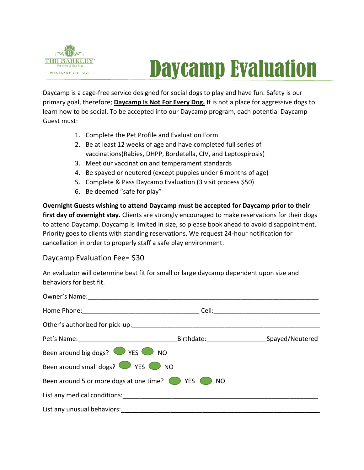

## Daycamp Evaluation

Daycamp is a cage-free service designed for social dogs to play and have fun. Safety is our primary goal, therefore; **Daycamp Is Not For Every Dog.** It is not a place for aggressive dogs to learn how to be social. To be accepted into our Daycamp program, each potential Daycamp Guest must:

- 1. Complete the Pet Profile and Evaluation Form
- 2. Be at least 12 weeks of age and have completed full series of vaccinations(Rabies, DHPP, Bordetella, CIV, and Leptospirosis)
- 3. Meet our vaccination and temperament standards
- 4. Be spayed or neutered (except puppies under 6 months of age)
- 5. Complete & Pass Daycamp Evaluation (3 visit process \$50)
- 6. Be deemed "safe for play"

**Overnight Guests wishing to attend Daycamp must be accepted for Daycamp prior to their**  first day of overnight stay. Clients are strongly encouraged to make reservations for their dogs to attend Daycamp. Daycamp is limited in size, so please book ahead to avoid disappointment. Priority goes to clients with standing reservations. We request 24-hour notification for cancellation in order to properly staff a safe play environment.

## Daycamp Evaluation Fee= \$30

An evaluator will determine best fit for small or large daycamp dependent upon size and behaviors for best fit.

|                                                                                                                                                                                                                                | Cell: <b>Cell</b>          |  |
|--------------------------------------------------------------------------------------------------------------------------------------------------------------------------------------------------------------------------------|----------------------------|--|
| Other's authorized for pick-up: The control of the control of the control of the control of the control of the control of the control of the control of the control of the control of the control of the control of the contro |                            |  |
|                                                                                                                                                                                                                                | Birthdate: Spayed/Neutered |  |
| Been around big dogs? $\bigcirc$ YES $\bigcirc$ NO                                                                                                                                                                             |                            |  |
| Been around small dogs? VES NO                                                                                                                                                                                                 |                            |  |
| Been around 5 or more dogs at one time?                                                                                                                                                                                        | YES<br>NO                  |  |
| List any medical conditions:                                                                                                                                                                                                   |                            |  |
| List any unusual behaviors:                                                                                                                                                                                                    |                            |  |